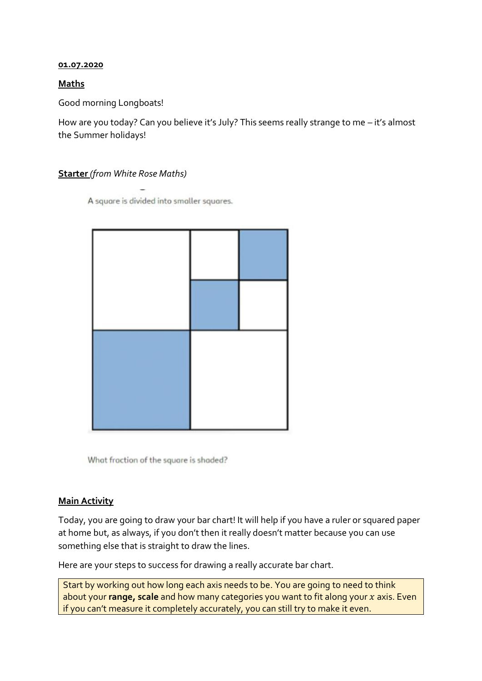## **01.07.2020**

## **Maths**

Good morning Longboats!

How are you today? Can you believe it's July? This seems really strange to me – it's almost the Summer holidays!

## **Starter** *(from White Rose Maths)*

A square is divided into smaller squares.

What fraction of the square is shaded?

## **Main Activity**

Today, you are going to draw your bar chart! It will help if you have a ruler or squared paper at home but, as always, if you don't then it really doesn't matter because you can use something else that is straight to draw the lines.

Here are your steps to success for drawing a really accurate bar chart.

Start by working out how long each axis needs to be. You are going to need to think about your **range, scale** and how many categories you want to fit along your x axis. Even if you can't measure it completely accurately, you can still try to make it even.